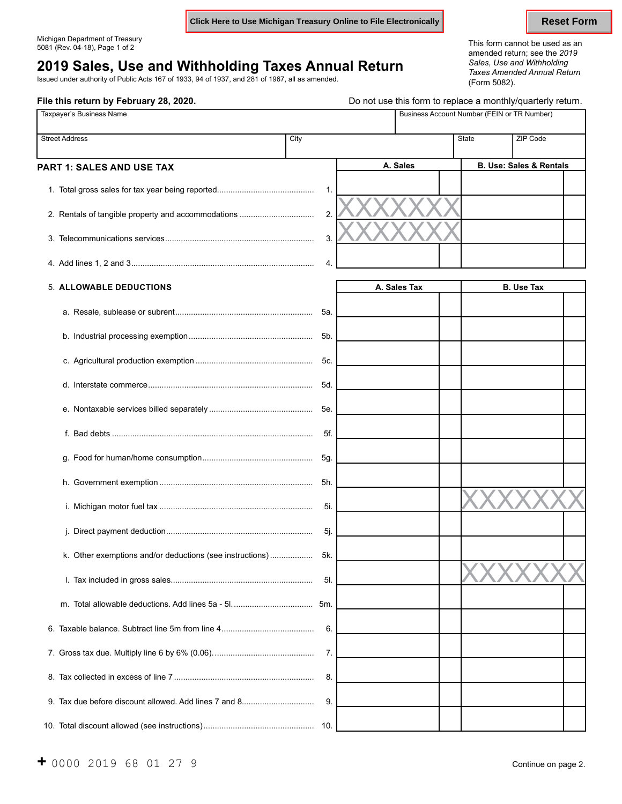**Click Here to Use Michigan Treasury Online to File Electronically <b>Reset Form** Reset Form

**File this return by February 28, 2020. Do not use this form to replace a monthly/quarterly return.** 

## **2019 Sales, Use and Withholding Taxes Annual Return** *Sales, Use and Withholding*

Issued under authority of Public Acts 167 of 1933, 94 of 1937, and 281 of 1967, all as amended. (Form 5082).

Michigan Department of Treasury This form cannot be used as an 5081 (Rev. 04-18), Page 1 of 2 amended return; see the *<sup>2019</sup> Taxes Amended Annual Return*

| Taxpayer's Business Name                                 |     |                  | Business Account Number (FEIN or TR Number) |                   |                                        |                                    |  |
|----------------------------------------------------------|-----|------------------|---------------------------------------------|-------------------|----------------------------------------|------------------------------------|--|
| <b>Street Address</b><br>PART 1: SALES AND USE TAX       |     | City<br>A. Sales |                                             | <b>State</b>      | ZIP Code                               | <b>B. Use: Sales &amp; Rentals</b> |  |
|                                                          |     |                  |                                             |                   |                                        |                                    |  |
|                                                          | 1.  |                  |                                             |                   |                                        |                                    |  |
| 2. Rentals of tangible property and accommodations       | 2.  |                  |                                             |                   |                                        |                                    |  |
|                                                          | 3.  |                  |                                             |                   |                                        |                                    |  |
|                                                          | 4.  |                  |                                             |                   |                                        |                                    |  |
| <b>5. ALLOWABLE DEDUCTIONS</b>                           |     |                  | A. Sales Tax                                |                   | <b>B. Use Tax</b>                      |                                    |  |
|                                                          | 5a. |                  |                                             |                   |                                        |                                    |  |
|                                                          | 5b. |                  |                                             |                   |                                        |                                    |  |
|                                                          | 5c. |                  |                                             |                   |                                        |                                    |  |
|                                                          | 5d. |                  |                                             |                   |                                        |                                    |  |
|                                                          | 5e. |                  |                                             |                   |                                        |                                    |  |
|                                                          | 5f. |                  |                                             |                   |                                        |                                    |  |
|                                                          | 5g. |                  |                                             |                   |                                        |                                    |  |
|                                                          | 5h. |                  |                                             |                   |                                        |                                    |  |
|                                                          | 5i. |                  |                                             |                   |                                        |                                    |  |
|                                                          | 5j. |                  |                                             |                   |                                        |                                    |  |
| k. Other exemptions and/or deductions (see instructions) | 5k. |                  |                                             | <b>73.73</b><br>V | $\overline{ }$<br>$\overline{ }$<br>∕ヽ | ╱╲                                 |  |
|                                                          | 5I. |                  |                                             |                   |                                        |                                    |  |
|                                                          | 5m. |                  |                                             |                   |                                        |                                    |  |
|                                                          | 6.  |                  |                                             |                   |                                        |                                    |  |
|                                                          | 7.  |                  |                                             |                   |                                        |                                    |  |
|                                                          | 8.  |                  |                                             |                   |                                        |                                    |  |
| 9. Tax due before discount allowed. Add lines 7 and 8    | 9.  |                  |                                             |                   |                                        |                                    |  |
|                                                          |     |                  |                                             |                   |                                        |                                    |  |

10. Total discount allowed (see instructions)................................................. 10.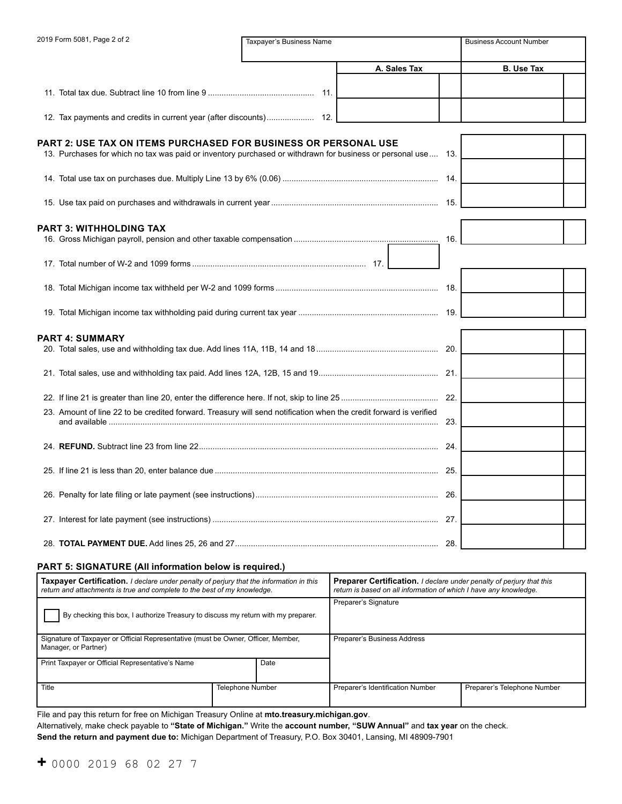| 2019 Form 5081, Page 2 of 2                                                                                       | Taxpayer's Business Name |              |     | <b>Business Account Number</b> |  |
|-------------------------------------------------------------------------------------------------------------------|--------------------------|--------------|-----|--------------------------------|--|
|                                                                                                                   |                          | A. Sales Tax |     | <b>B.</b> Use Tax              |  |
|                                                                                                                   |                          |              |     |                                |  |
|                                                                                                                   |                          |              |     |                                |  |
| PART 2: USE TAX ON ITEMS PURCHASED FOR BUSINESS OR PERSONAL USE                                                   |                          |              |     |                                |  |
| 13. Purchases for which no tax was paid or inventory purchased or withdrawn for business or personal use 13.      |                          |              |     |                                |  |
|                                                                                                                   |                          |              |     |                                |  |
|                                                                                                                   |                          |              |     |                                |  |
| PART 3: WITHHOLDING TAX                                                                                           |                          |              |     |                                |  |
|                                                                                                                   |                          |              | 16. |                                |  |
|                                                                                                                   |                          |              |     |                                |  |
|                                                                                                                   |                          |              |     |                                |  |
|                                                                                                                   |                          |              |     |                                |  |
| PART 4: SUMMARY                                                                                                   |                          |              |     |                                |  |
|                                                                                                                   |                          |              |     |                                |  |
|                                                                                                                   |                          |              |     |                                |  |
|                                                                                                                   |                          |              |     |                                |  |
| 23. Amount of line 22 to be credited forward. Treasury will send notification when the credit forward is verified |                          |              | 23. |                                |  |
|                                                                                                                   |                          |              |     |                                |  |
|                                                                                                                   |                          |              |     |                                |  |
|                                                                                                                   |                          |              |     |                                |  |
|                                                                                                                   |                          |              |     |                                |  |
|                                                                                                                   |                          |              |     |                                |  |

#### **PART 5: SIGNATURE (All information below is required.)**

| <b>Taxpayer Certification.</b> I declare under penalty of perjury that the information in this<br>return and attachments is true and complete to the best of my knowledge. |                         | <b>Preparer Certification.</b> I declare under penalty of perjury that this<br>return is based on all information of which I have any knowledge. |                             |  |  |
|----------------------------------------------------------------------------------------------------------------------------------------------------------------------------|-------------------------|--------------------------------------------------------------------------------------------------------------------------------------------------|-----------------------------|--|--|
| By checking this box, I authorize Treasury to discuss my return with my preparer.                                                                                          |                         | Preparer's Signature                                                                                                                             |                             |  |  |
| Signature of Taxpayer or Official Representative (must be Owner, Officer, Member,<br>Manager, or Partner)                                                                  |                         | Preparer's Business Address                                                                                                                      |                             |  |  |
| Date<br>Print Taxpayer or Official Representative's Name                                                                                                                   |                         |                                                                                                                                                  |                             |  |  |
| Title                                                                                                                                                                      | <b>Telephone Number</b> | Preparer's Identification Number                                                                                                                 | Preparer's Telephone Number |  |  |

File and pay this return for free on Michigan Treasury Online at **mto.treasury.michigan.gov**.

Alternatively, make check payable to **"State of Michigan."** Write the **account number, "SUW Annual"** and **tax year** on the check.

**Send the return and payment due to:** Michigan Department of Treasury, P.O. Box 30401, Lansing, MI 48909-7901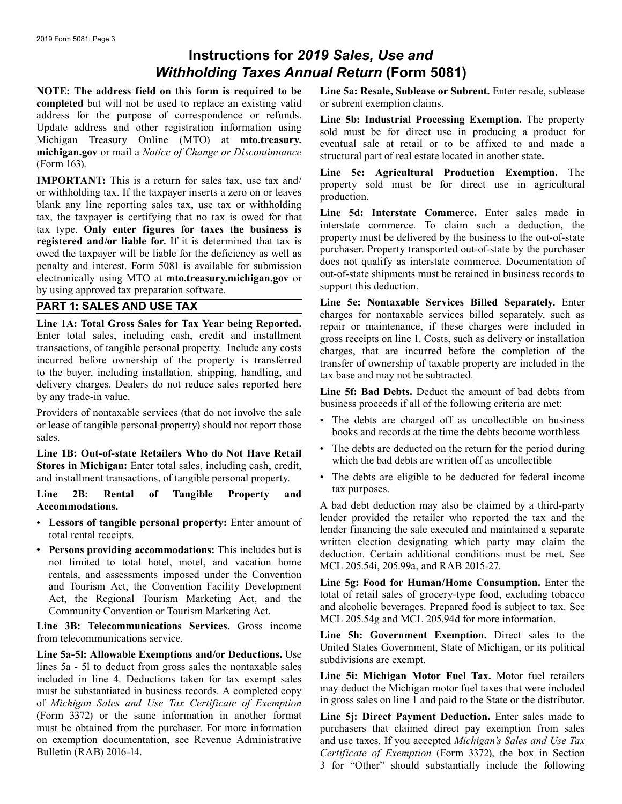# **Instructions for** *2019 Sales, Use and Withholding Taxes Annual Return* **(Form 5081)**

**completed** but will not be used to replace an existing valid or subrent exemption claims. address for the purpose of correspondence or refunds.<br>
Update address and other registration information using<br>
Michigan Treasury Online (MTO) at **mto.treasury.**<br>
Michigan Treasury Online (MTO) at **mto.treasury.**<br>
Michigan **michigan.gov** or mail a *Notice of Change or Discontinuance* structural part of real estate located in another state.<br> **Line 5c: Agricultural Production Exemption.** The **Line 16. Line 5c: Agricultural Production Exempti** 

IMPORTANT: This is a return for sales tax, use tax and<br>or withholding tax. If the taxpayer inserts a zero on or leaves<br>blank any line reporting sales tax, use tax or withholding<br>tax, the taxpayer is certifying that no tax registered and/or liable for. If it is determined that tax is<br>owed the taxpayer will be liable for the deficiency as well as<br>perchaser. Property transported out-of-state by the purchaser<br>penalty and interest. Form 5081 is by using approved tax preparation software.

**Example 14: Total Gross Sales for Tax Vear being Reported.**<br> **Example 2018** Changes for nontaxable services billed separately, such as<br>
Enter total sales, including cash, credit and installment<br>
transactions, of tangible

**Line 1B: Out-of-state Retailers Who do Not Have Retail Community Stores in Michigan:** Enter total sales, including cash, credit,<br>and installment transactions, of tangible personal property. The debts are eligible to be de and installment transactions, of tangible personal property. • The debts are eligible to be debts are to be detailed for  $\frac{1}{\sqrt{2}}$ 

Line 2B: Rental of Tangible Property and <sup>tax purposes.</sup>

- 
- not limited to total hotel, motel, and vacation home<br>rentals, and assessments imposed under the Convention<br>and Tourism Act, the Convention Facility Development<br>Act, the Regional Tourism Marketing Act, and the<br>Community Con

Line 5a-5l: Allowable Exemptions and/or Deductions. Use<br>
lines 5a - 5l to deduct from gross sales the nontaxable sales<br>
included in line 4. Deductions taken for tax exempt sales<br>
Line 5i: Michigan Motor Fuel Tax. Motor fue included in line 4. Deductions taken for tax exempt sales **Line 5i: Michigan Motor Fuel Tax.** Motor fuel retailers must be substantiated in business records. A completed copy may deduct the Michigan motor fuel taxes that were included<br>of Michigan Sales and Lise Tax Certificate of Exemption in gross sales on line 1 and paid to the State of *Michigan Sales and Use Tax Certificate of Exemption* (Form 3372) or the same information in another format (Form 3372) or the same information in another format **Line 5j: Direct Payment Deduction.** Enter sales made to must be obtained from the purchaser. For more information purchasers that claimed direct pay exemption from sales<br>on exemption documentation, see Revenue Administrative and use taxes. If you accepted Michigan's Sales and U on exemption documentation, see Revenue Administrative and use taxes. If you accepted *Michigan's Sales and Use Tax* 

**NOTE: The address field on this form is required to be Line 5a: Resale, Sublease or Subrent.** Enter resale, sublease

**PART 1: SALES AND USE TAX** Line 5e: Nontaxable Services Billed Separately. Enter<br>
charges for nontaxable services billed separately, such as

- 
- 
- 

**Accommodations.** A bad debt deduction may also be claimed by a third-party<br> **A** bad debt deduction may also be claimed by a third-party<br>
Lender provided the retailer who reported the tax and the • Lessors of tangible personal property: Enter amount of<br>total rental receipts.<br>• Persons providing accommodations: This includes but is<br>• Persons providing accommodations: This includes but is **• Persons providing accommodations:** This includes but is deduction. Certain additional conditions must be met. See not limited to total hotel, motel, and vacation home MCI 205.54; 205.000 and RAB 2015.27

from telecommunications service.<br> **Line 5h: Government Exemption.** Direct sales to the<br>
United States Government, State of Michigan, or its political

Certificate of Exemption (Form 3372), the box in Section 3 for "Other" should substantially include the following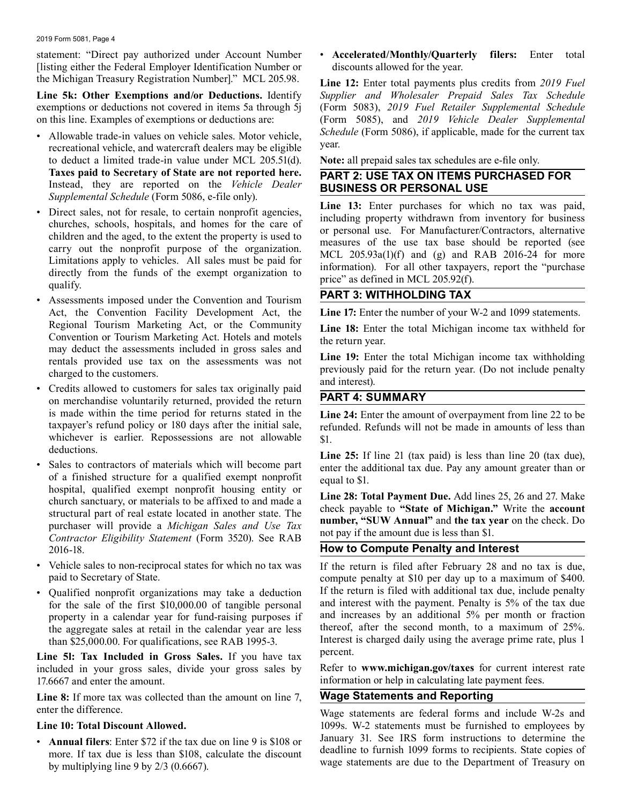2019 Form 5081, Page 4

statement: "Direct pay authorized under Account Number [listing either the Federal Employer Identification Number or the Michigan Treasury Registration Number]." MCL 205.98.

**Line 5k: Other Exemptions and/or Deductions.** Identify exemptions or deductions not covered in items 5a through 5j on this line. Examples of exemptions or deductions are:

- Allowable trade-in values on vehicle sales. Motor vehicle, recreational vehicle, and watercraft dealers may be eligible to deduct a limited trade-in value under MCL 205.51(d). **Taxes paid to Secretary of State are not reported here.** Instead, they are reported on the *Vehicle Dealer Supplemental Schedule* (Form 5086, e-file only).
- Direct sales, not for resale, to certain nonprofit agencies, churches, schools, hospitals, and homes for the care of children and the aged, to the extent the property is used to carry out the nonprofit purpose of the organization. Limitations apply to vehicles. All sales must be paid for directly from the funds of the exempt organization to qualify.
- Assessments imposed under the Convention and Tourism Act, the Convention Facility Development Act, the Regional Tourism Marketing Act, or the Community Convention or Tourism Marketing Act. Hotels and motels may deduct the assessments included in gross sales and rentals provided use tax on the assessments was not charged to the customers.
- Credits allowed to customers for sales tax originally paid on merchandise voluntarily returned, provided the return is made within the time period for returns stated in the taxpayer's refund policy or 180 days after the initial sale, whichever is earlier. Repossessions are not allowable deductions.
- Sales to contractors of materials which will become part of a finished structure for a qualified exempt nonprofit hospital, qualified exempt nonprofit housing entity or church sanctuary, or materials to be affixed to and made a structural part of real estate located in another state. The purchaser will provide a *Michigan Sales and Use Tax Contractor Eligibility Statement* (Form 3520). See RAB 2016-18.
- Vehicle sales to non-reciprocal states for which no tax was paid to Secretary of State.
- Qualified nonprofit organizations may take a deduction for the sale of the first \$10,000.00 of tangible personal property in a calendar year for fund-raising purposes if the aggregate sales at retail in the calendar year are less than \$25,000.00. For qualifications, see RAB 1995-3.

**Line 5l: Tax Included in Gross Sales.** If you have tax included in your gross sales, divide your gross sales by 17.6667 and enter the amount.

**Line 8:** If more tax was collected than the amount on line 7, enter the difference.

#### **Line 10: Total Discount Allowed.**

• **Annual filers**: Enter \$72 if the tax due on line 9 is \$108 or more. If tax due is less than \$108, calculate the discount by multiplying line 9 by 2/3 (0.6667).

• **Accelerated/Monthly/Quarterly filers:** Enter total discounts allowed for the year.

**Line 12:** Enter total payments plus credits from *2019 Fuel Supplier and Wholesaler Prepaid Sales Tax Schedule* (Form 5083), *2019 Fuel Retailer Supplemental Schedule* (Form 5085), and *2019 Vehicle Dealer Supplemental Schedule* (Form 5086), if applicable, made for the current tax year.

**Note:** all prepaid sales tax schedules are e-file only.

#### **PART 2: USE TAX ON ITEMS PURCHASED FOR BUSINESS OR PERSONAL USE**

**Line 13:** Enter purchases for which no tax was paid, including property withdrawn from inventory for business or personal use. For Manufacturer/Contractors, alternative measures of the use tax base should be reported (see MCL 205.93a(1)(f) and (g) and RAB 2016-24 for more information). For all other taxpayers, report the "purchase price" as defined in MCL 205.92(f).

### **PART 3: WITHHOLDING TAX**

**Line 17:** Enter the number of your W-2 and 1099 statements.

Line 18: Enter the total Michigan income tax withheld for the return year.

**Line 19:** Enter the total Michigan income tax withholding previously paid for the return year. (Do not include penalty and interest).

#### **PART 4: SUMMARY**

**Line 24:** Enter the amount of overpayment from line 22 to be refunded. Refunds will not be made in amounts of less than \$1.

**Line 25:** If line 21 (tax paid) is less than line 20 (tax due), enter the additional tax due. Pay any amount greater than or equal to \$1.

**Line 28: Total Payment Due.** Add lines 25, 26 and 27. Make check payable to **"State of Michigan."** Write the **account number, "SUW Annual"** and **the tax year** on the check. Do not pay if the amount due is less than \$1.

### **How to Compute Penalty and Interest**

If the return is filed after February 28 and no tax is due, compute penalty at \$10 per day up to a maximum of \$400. If the return is filed with additional tax due, include penalty and interest with the payment. Penalty is 5% of the tax due and increases by an additional 5% per month or fraction thereof, after the second month, to a maximum of 25%. Interest is charged daily using the average prime rate, plus 1 percent.

Refer to **www.michigan.gov/taxes** for current interest rate information or help in calculating late payment fees.

### **Wage Statements and Reporting**

Wage statements are federal forms and include W-2s and 1099s. W-2 statements must be furnished to employees by January 31. See IRS form instructions to determine the deadline to furnish 1099 forms to recipients. State copies of wage statements are due to the Department of Treasury on